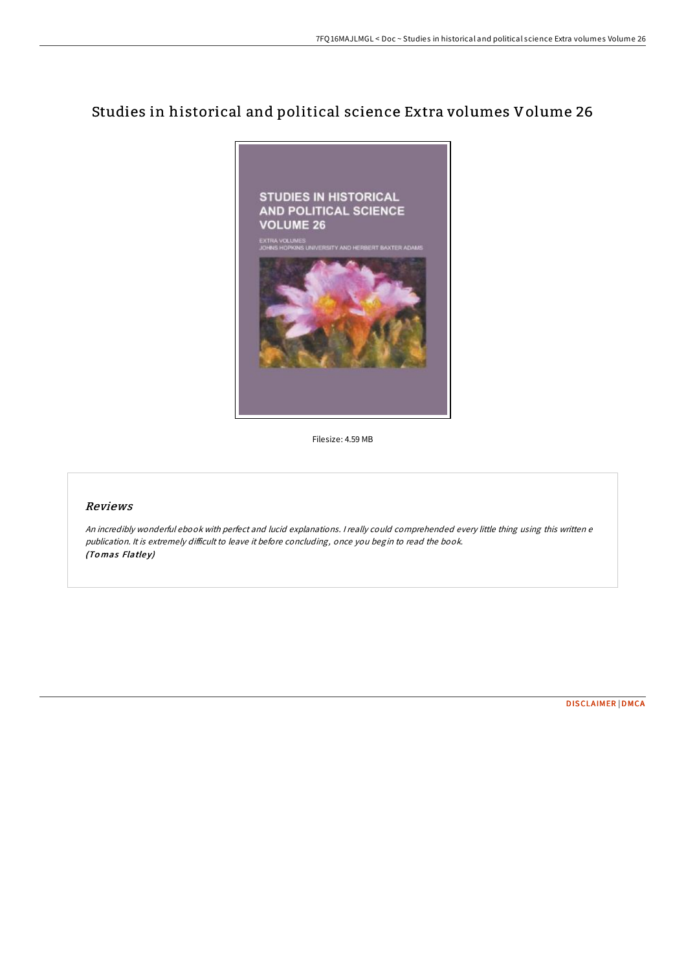# Studies in historical and political science Extra volumes Volume 26



Filesize: 4.59 MB

# Reviews

An incredibly wonderful ebook with perfect and lucid explanations. <sup>I</sup> really could comprehended every little thing using this written <sup>e</sup> publication. It is extremely difficult to leave it before concluding, once you begin to read the book. (Tomas Flatley)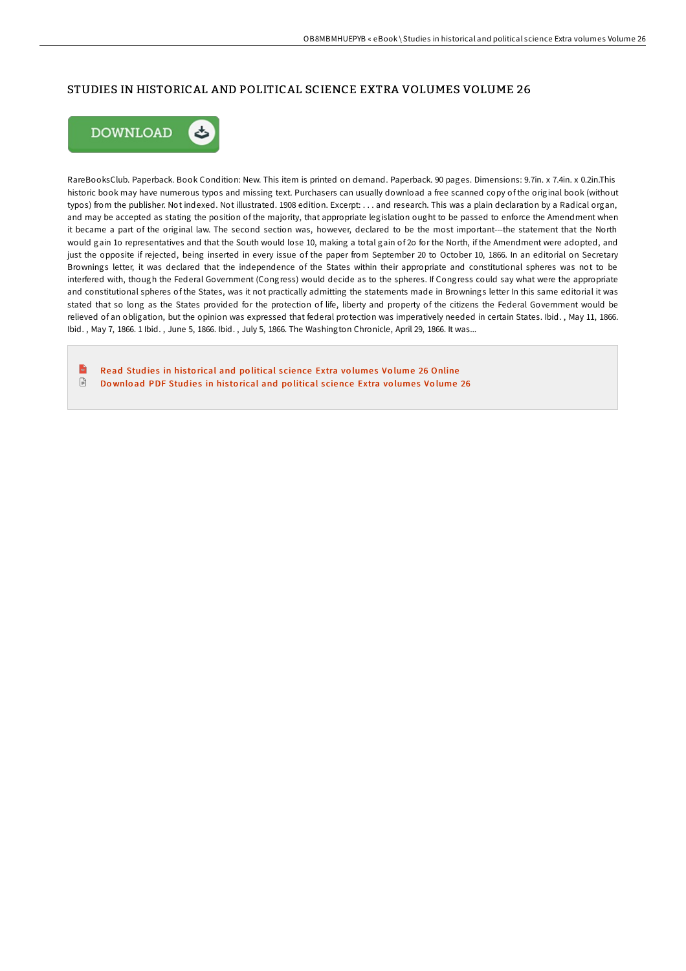### STUDIES IN HISTORICAL AND POLITICAL SCIENCE EXTRA VOLUMES VOLUME 26



RareBooksClub. Paperback. Book Condition: New. This item is printed on demand. Paperback. 90 pages. Dimensions: 9.7in. x 7.4in. x 0.2in.This historic book may have numerous typos and missing text. Purchasers can usually download a free scanned copy of the original book (without typos) from the publisher. Not indexed. Not illustrated. 1908 edition. Excerpt: . . . and research. This was a plain declaration by a Radical organ, and may be accepted as stating the position of the majority, that appropriate legislation ought to be passed to enforce the Amendment when it became a part of the original law. The second section was, however, declared to be the most important---the statement that the North would gain 1o representatives and that the South would lose 10, making a total gain of 2o for the North, if the Amendment were adopted, and just the opposite if rejected, being inserted in every issue of the paper from September 20 to October 10, 1866. In an editorial on Secretary Brownings letter, it was declared that the independence of the States within their appropriate and constitutional spheres was not to be interfered with, though the Federal Government (Congress) would decide as to the spheres. If Congress could say what were the appropriate and constitutional spheres of the States, was it not practically admitting the statements made in Brownings letter In this same editorial it was stated that so long as the States provided for the protection of life, liberty and property of the citizens the Federal Government would be relieved of an obligation, but the opinion was expressed that federal protection was imperatively needed in certain States. Ibid. , May 11, 1866. Ibid. , May 7, 1866. 1 Ibid. , June 5, 1866. Ibid. , July 5, 1866. The Washington Chronicle, April 29, 1866. It was...

 $\mathbf{R}$ Read Studies in historical and political s[cience](http://almighty24.tech/studies-in-historical-and-political-science-extr-1.html) Extra volumes Volume 26 Online  $\ensuremath{\mathop\square}\xspace$ Do wnload PDF Studies in historical and political s[cience](http://almighty24.tech/studies-in-historical-and-political-science-extr-1.html) Extra volumes Volume 26